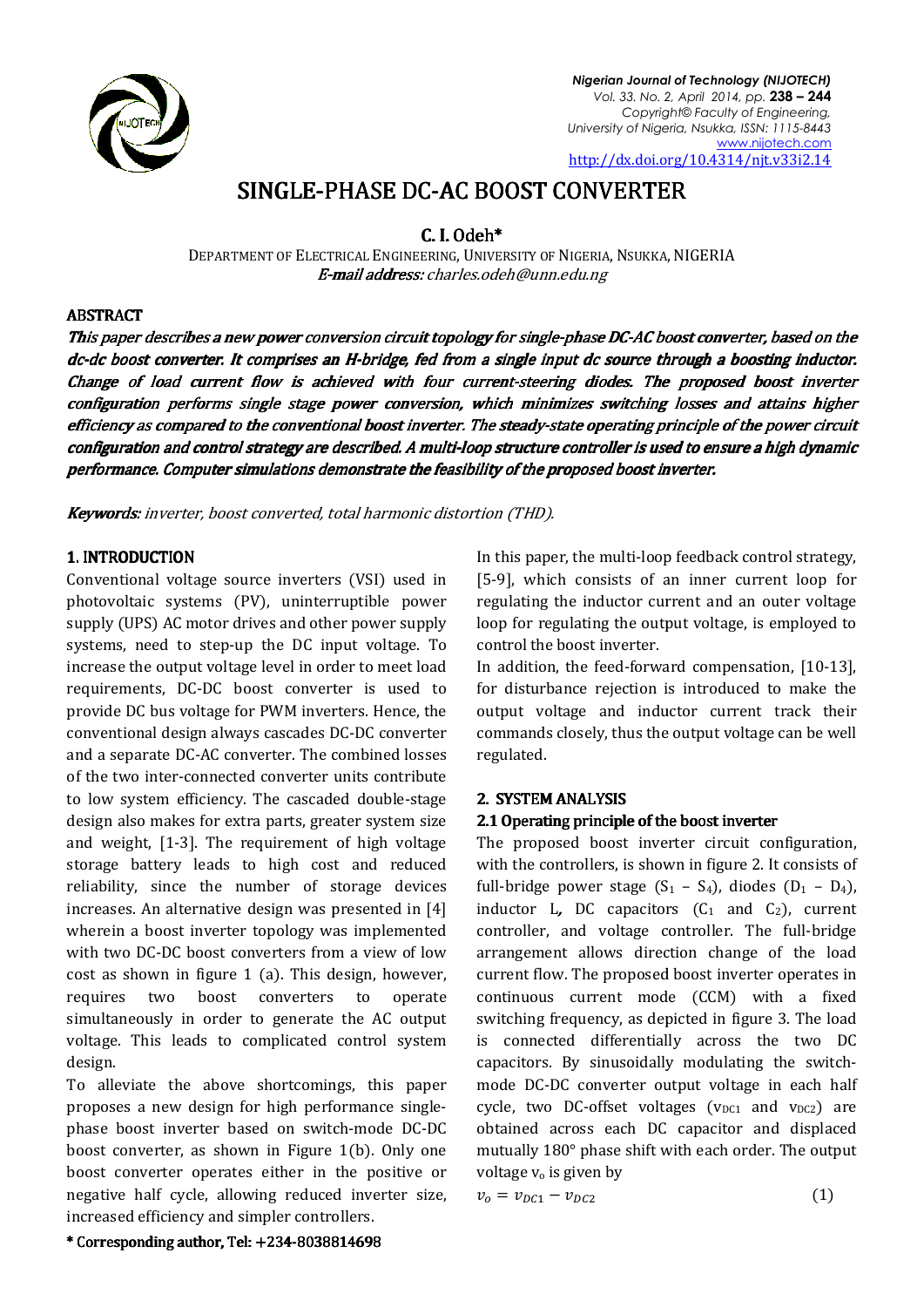

*Nigerian Journal of Technology (NIJOTECH) Vol. 33. No. 2, April 2014, pp.* **238 – 244**  *Copyright© Faculty of Engineering, University of Nigeria, Nsukka, ISSN: 1115 1115-8443* http://dx.doi.org/10.4314/njt.v33i2.14 www.nijotech.com

# SINGLE-PHASE DC-AC BOOST CONVERTER

 $C. I. Odeh*$ 

DEPARTMENT OF ELECTRICAL ENGINEERING, UNIVERSITY OF NIGERIA, NSUKKA, NIGERIA **E-mail address:** charles.odeh@unn.edu.ng

## ABSTRACT

This paper describes a new power conversion circuit topology for single-phase DC-AC boost converter, based on the dc-dc boost converter. It comprises an H-bridge, fed from a single input dc source through a boosting inductor.<br>Change of load current flow is achieved with four current-steering diodes. The proposed boost inv Change of load current flow is achieved with four current-steering diodes. The proposed configuration performs single stage power conversion, which minimizes switching losses and attains higher efficiency as compared to the conventional boost inverter. The steady-state operating principle of the power circuit efficiency as compared to the conventional boost inverter. The steady-state operating principle of the power circuit<br>configuration and control strategy are described. A multi-loop structure controller is used to ensure a h performance. Computer simulations demonstrate the feasibility of the proposed boost inverter.

**Keywords:** inverter, boost converted, total harmonic distortion (THD).

# 1. INTRODUCTION

Conventional voltage source inverters (VSI) used in photovoltaic systems (PV), uninterruptible power supply (UPS) AC motor drives and other power supply systems, need to step-up the DC input voltage. To increase the output voltage level in order to meet load increase the output voltage level in order to meet load requirements, DC-DC boost converter is used to provide DC bus voltage for PWM inverters. Hence, the conventional design always cascades DC and a separate DC-AC converter. The combined losses and a separate DC-AC converter. The combined losses<br>of the two inter-connected converter units contribute to low system efficiency. The cascaded double-stage design also makes for extra parts, greater system size and weight, [1-3]. The requirement of high voltage storage battery leads to high cost and reduced reliability, since the number of storage devices increases. An alternative design was presented in [4] wherein a boost inverter topology was implemented with two DC-DC boost converters from a view of low cost as shown in figure 1 (a). This design, however, requires two boost converters t simultaneously in order to generate the AC AC output voltage. This leads to complicated control system design. DC boost converter is used to<br>tage for PWM inverters. Hence, the<br>1 always cascades DC-DC converter s for extra parts, greater system size<br>]. The requirement of high voltage<br>leads to high cost and reduced<br>the number of storage devices DC boost converters from a view of low<br>n in figure 1 (a). This design, however,<br>vo boost converters to operate

To alleviate the above shortcomings, this paper proposes a new design for high performance singlephase boost inverter based on switch-mode DC-DC boost converter, as shown in Figure 1(b). Only one boost converter operates either in the positive or negative half cycle, allowing reduced inverter size, increased efficiency and simpler controllers.

[5-9], which consists of an inner current loop for regulating the inductor current and an outer voltage loop for regulating the output voltage, is employed to control the boost inverter. In this paper, the multi-loop feedback control strategy, 9], which consists of an inner current loop for<br>gulating the inductor current and an outer voltage<br>p for regulating the output voltage, is employed to<br>ntrol the boost inverter.<br>addition, the feed-forward compensation, [10-

In addition, the feed-forward compensation, [10-13], for disturbance rejection is introduced to make the output voltage and inductor current track their commands closely, thus the output voltage can be well regulated. For disturbance rejection is introduced to<br>Foutput voltage and inductor current to<br>Commands closely, thus the output voltage<br>regulated.<br>**2. SYSTEM ANALYSIS**<br>**2.1 Operating principle of the boost inverter** 

# 2. SYSTEM ANALYSIS 2.

# 2.1 Operating principle of the boost inverter

In this paper, the multi-loop feedback contrinterruptible power regulating the instanct current current and dother power regulating the inductor current and an dother power regulating the induction current and an dother p The proposed boost inverter circuit configuration, with the controllers, is shown in figure 2. It consists of full-bridge power stage  $(S_1 - S_4)$ , diodes  $(D_1 - D_4)$ , inductor L, DC capacitors  $(C_1$  and  $C_2$ ), current controller, and voltage controller. The full-bridge arrangement allows direction change of the load current flow. The proposed boost inverter operates in continuous current mode (CCM) with a fixed switching frequency, as depicted in figure 3 3.The load is connected differentially across the two DC capacitors. By sinusoidally modulating the switchmode DC-DC converter output voltage in each half mode DC-DC converter output voltage in each half cycle, two DC-offset voltages  $(v_{DC1}$  and  $v_{DC2})$  are obtained across each DC capacitor and displaced mutually 180° phase shift with each order. The output voltage  $v_0$  is given by

$$
v_o = v_{DC1} - v_{DC2} \tag{1}
$$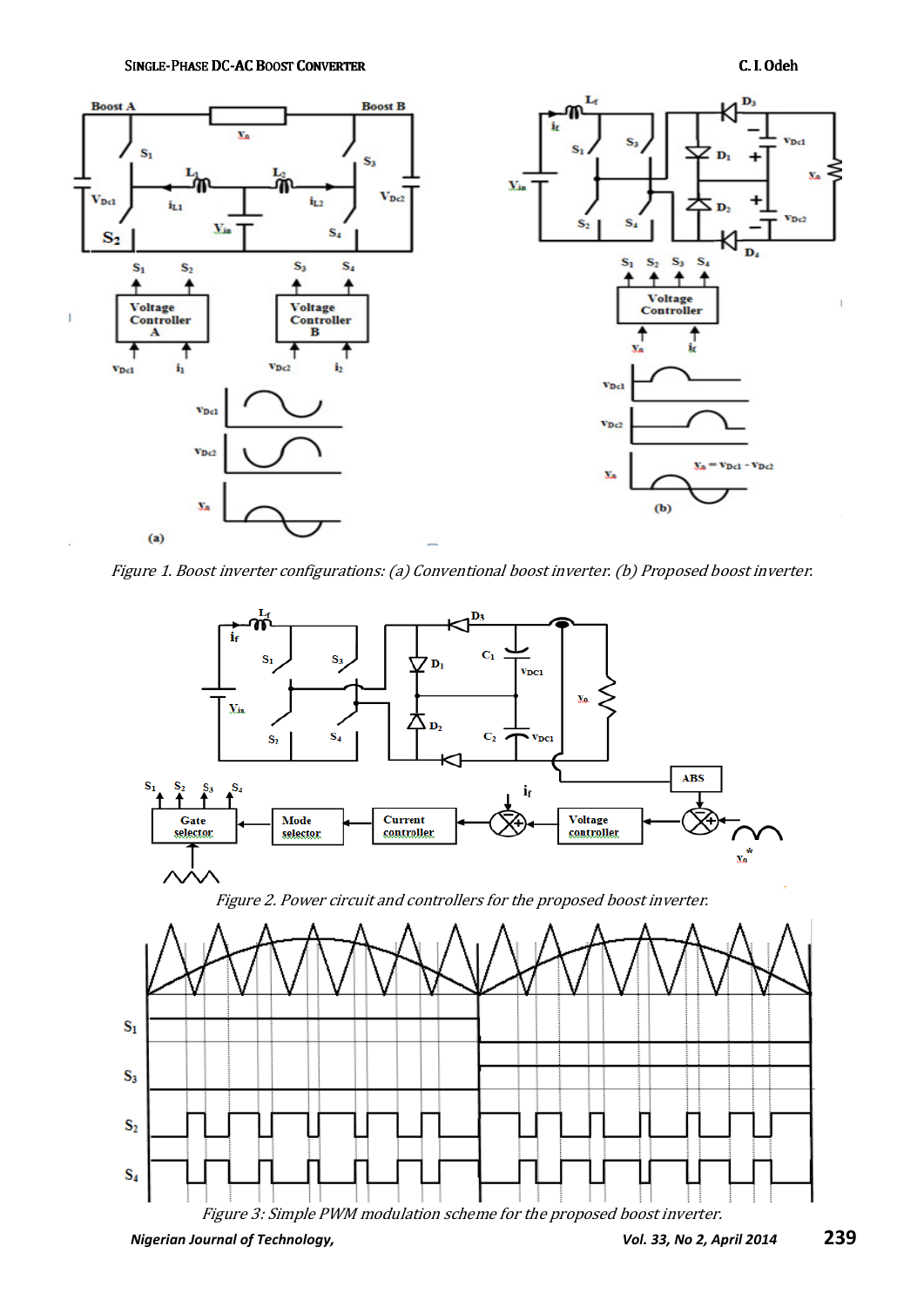SINGLE-PHASE DC-AC BOOST CONVERTER **C. I. Odeh** 



Figure 1. Boost inverter configurations: (a) Conventional boost inverter. (b) Proposed boost inverter.

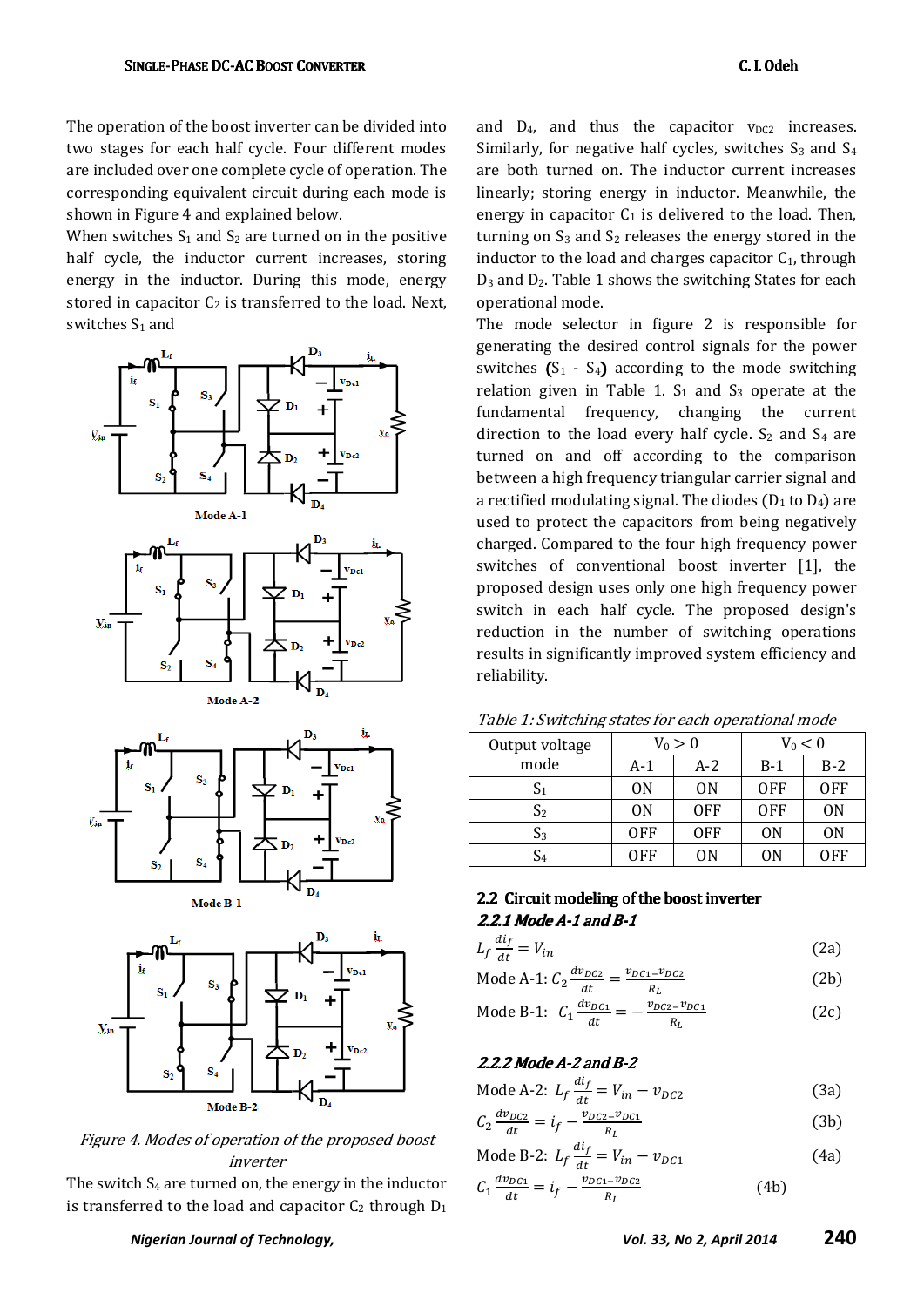The operation of the boost inverter can be divided into two stages for each half cycle. Four different modes are included over one complete cycle of operation. The corresponding equivalent circuit during each mode is shown in Figure 4 and explained below.

When switches  $S_1$  and  $S_2$  are turned on in the positive half cycle, the inductor current increases, storing energy in the inductor. During this mode, energy stored in capacitor  $C_2$  is transferred to the load. Next, switches S<sub>1</sub> and



Figure 4. Modes of operation of the proposed boost inverter

The switch S4 are turned on, the energy in the inductor is transferred to the load and capacitor  $C_2$  through  $D_1$  and  $D_4$ , and thus the capacitor  $v_{DC2}$  increases. Similarly, for negative half cycles, switches  $S_3$  and  $S_4$ are both turned on. The inductor current increases linearly; storing energy in inductor. Meanwhile, the energy in capacitor  $C_1$  is delivered to the load. Then, turning on  $S_3$  and  $S_2$  releases the energy stored in the inductor to the load and charges capacitor  $C_1$ , through  $D_3$  and  $D_2$ . Table 1 shows the switching States for each operational mode.

The mode selector in figure 2 is responsible for generating the desired control signals for the power switches  $(S_1 - S_4)$  according to the mode switching relation given in Table 1.  $S_1$  and  $S_3$  operate at the fundamental frequency, changing the current direction to the load every half cycle.  $S_2$  and  $S_4$  are turned on and off according to the comparison between a high frequency triangular carrier signal and a rectified modulating signal. The diodes ( $D_1$  to  $D_4$ ) are used to protect the capacitors from being negatively charged. Compared to the four high frequency power switches of conventional boost inverter [1], the proposed design uses only one high frequency power switch in each half cycle. The proposed design's reduction in the number of switching operations results in significantly improved system efficiency and reliability.

| Output voltage | $V_0 > 0$      |            | $V_0 < 0$  |                |
|----------------|----------------|------------|------------|----------------|
| mode           | A-1            | A-2        | $B-1$      | $B-2$          |
| S <sub>1</sub> | 0 <sub>N</sub> | 0N         | <b>OFF</b> | <b>OFF</b>     |
| S <sub>2</sub> | 0 <sub>N</sub> | <b>OFF</b> | <b>OFF</b> | 0 <sub>N</sub> |
| $S_3$          | <b>OFF</b>     | <b>OFF</b> | 0N         | 0 <sub>N</sub> |
| S <sub>4</sub> | OFF            | ON         | ON         | OFF            |

#### Table 1: Switching states for each operational mode

## 2.2 Circuit modeling of the boost inverter  $2.2.1$  Mode A-1 and B-1

| $L_f \frac{di_f}{dt} = V_{in}$ | (2a) |
|--------------------------------|------|
|                                |      |

- Mode A-1:  $C_2 \frac{dv_{DC2}}{dt}$  $\frac{v_{DC2}}{dt} = \frac{v_{DC1} - v_{DC2}}{R_L}$  $R_L$ (2b)
- Mode B-1:  $C_1 \frac{dv_{DC1}}{dt}$  $\frac{v_{DC1}}{dt} = -\frac{v_{DC2} - v_{DC1}}{R_L}$  $R_L$ (2c)

### $2.2.2$  Mode A-2 and B-2

 $dt$ 

Mode A-2: 
$$
L_f \frac{di_f}{dt} = V_{in} - v_{DC2}
$$
 (3a)

$$
C_2 \frac{dv_{DC2}}{dt} = i_f - \frac{v_{DC2} - v_{DC1}}{R_L}
$$
 (3b)

Mode B-2: 
$$
L_f \frac{di_f}{dt} = V_{in} - v_{DC1}
$$
 (4a)  
\n $C_1 \frac{dv_{DC1}}{dt} = i_f - \frac{v_{DC1} - v_{DC2}}{R_L}$  (4b)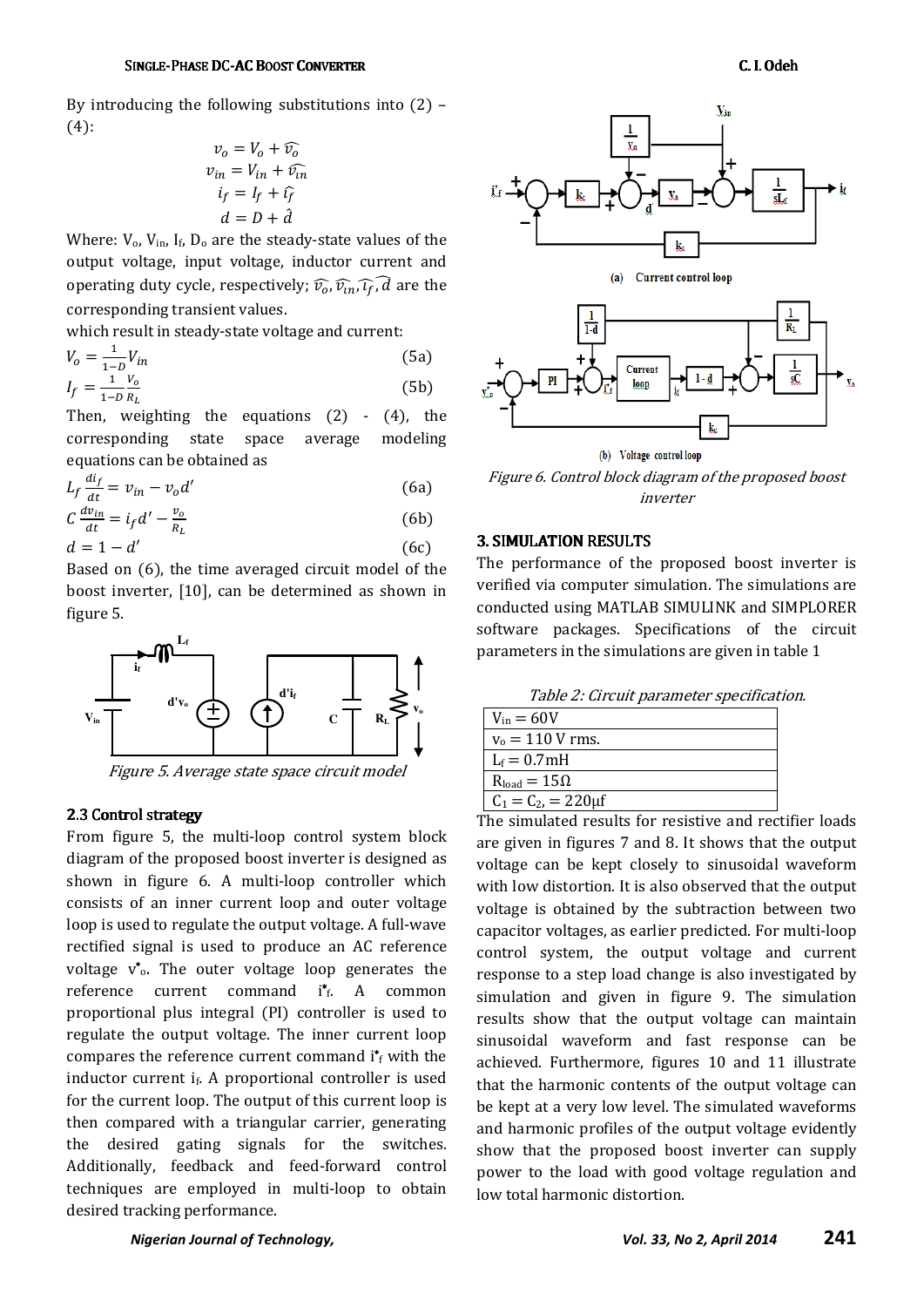By introducing the following substitutions into  $(2)$  –  $(4)$ :

$$
v_o = V_o + \widehat{v_o}
$$
  
\n
$$
v_{in} = V_{in} + \widehat{v_{in}}
$$
  
\n
$$
i_f = I_f + \widehat{v}_f
$$
  
\n
$$
d = D + \widehat{d}
$$

Where:  $V_0$ ,  $V_{in}$ ,  $I_f$ ,  $D_0$  are the steady-state values of the output voltage, input voltage, inductor current and operating duty cycle, respectively;  $\widehat{v}_o$ ,  $\widehat{v}_{in}$ ,  $\widehat{i_f}$ ,  $\widehat{d}$  are the corresponding transient values.

which result in steady-state voltage and current:

$$
V_o = \frac{1}{1 - D} V_{in}
$$
 (5a)  

$$
I_f = \frac{1}{1 - D} \frac{V_o}{P_e}
$$
 (5b)

 $1-D R_L$ Then, weighting the equations  $(2) - (4)$ , the corresponding state space average modeling equations can be obtained as

$$
L_f \frac{di_f}{dt} = v_{in} - v_o d'
$$
 (6a)

$$
C\frac{dv_{in}}{dt} = i_f d' - \frac{v_o}{R_L}
$$
 (6b)  

$$
d = 1 - d'
$$
 (6c)

Based on (6), the time averaged circuit model of the boost inverter, [10], can be determined as shown in figure 5.



Figure 5. Average state space circuit model

### 2.3 Control strategy

From figure 5, the multi-loop control system block diagram of the proposed boost inverter is designed as shown in figure 6. A multi-loop controller which consists of an inner current loop and outer voltage loop is used to regulate the output voltage. A full-wave rectified signal is used to produce an AC reference voltage  $v^*$ . The outer voltage loop generates the reference current command i\*f. A common proportional plus integral (PI) controller is used to regulate the output voltage. The inner current loop compares the reference current command  $i^*$ <sub>f</sub> with the inductor current  $i_f$ . A proportional controller is used for the current loop. The output of this current loop is then compared with a triangular carrier, generating the desired gating signals for the switches. Additionally, feedback and feed-forward control techniques are employed in multi-loop to obtain desired tracking performance.



Figure 6. Control block diagram of the proposed boost inverter

#### 3. SIMULATION RESULTS.

The performance of the proposed boost inverter is verified via computer simulation. The simulations are conducted using MATLAB SIMULINK and SIMPLORER software packages. Specifications of the circuit parameters in the simulations are given in table 1

| $V_{in} = 60V$          |  |
|-------------------------|--|
| $v_0 = 110$ V rms.      |  |
| $L_f = 0.7 \text{mH}$   |  |
| $R_{load} = 15\Omega$   |  |
| $C_1 = C_2 = 220 \mu f$ |  |

The simulated results for resistive and rectifier loads are given in figures 7 and 8. It shows that the output voltage can be kept closely to sinusoidal waveform with low distortion. It is also observed that the output voltage is obtained by the subtraction between two capacitor voltages, as earlier predicted. For multi-loop control system, the output voltage and current response to a step load change is also investigated by simulation and given in figure 9. The simulation results show that the output voltage can maintain sinusoidal waveform and fast response can be achieved. Furthermore, figures 10 and 11 illustrate that the harmonic contents of the output voltage can be kept at a very low level. The simulated waveforms and harmonic profiles of the output voltage evidently show that the proposed boost inverter can supply power to the load with good voltage regulation and low total harmonic distortion.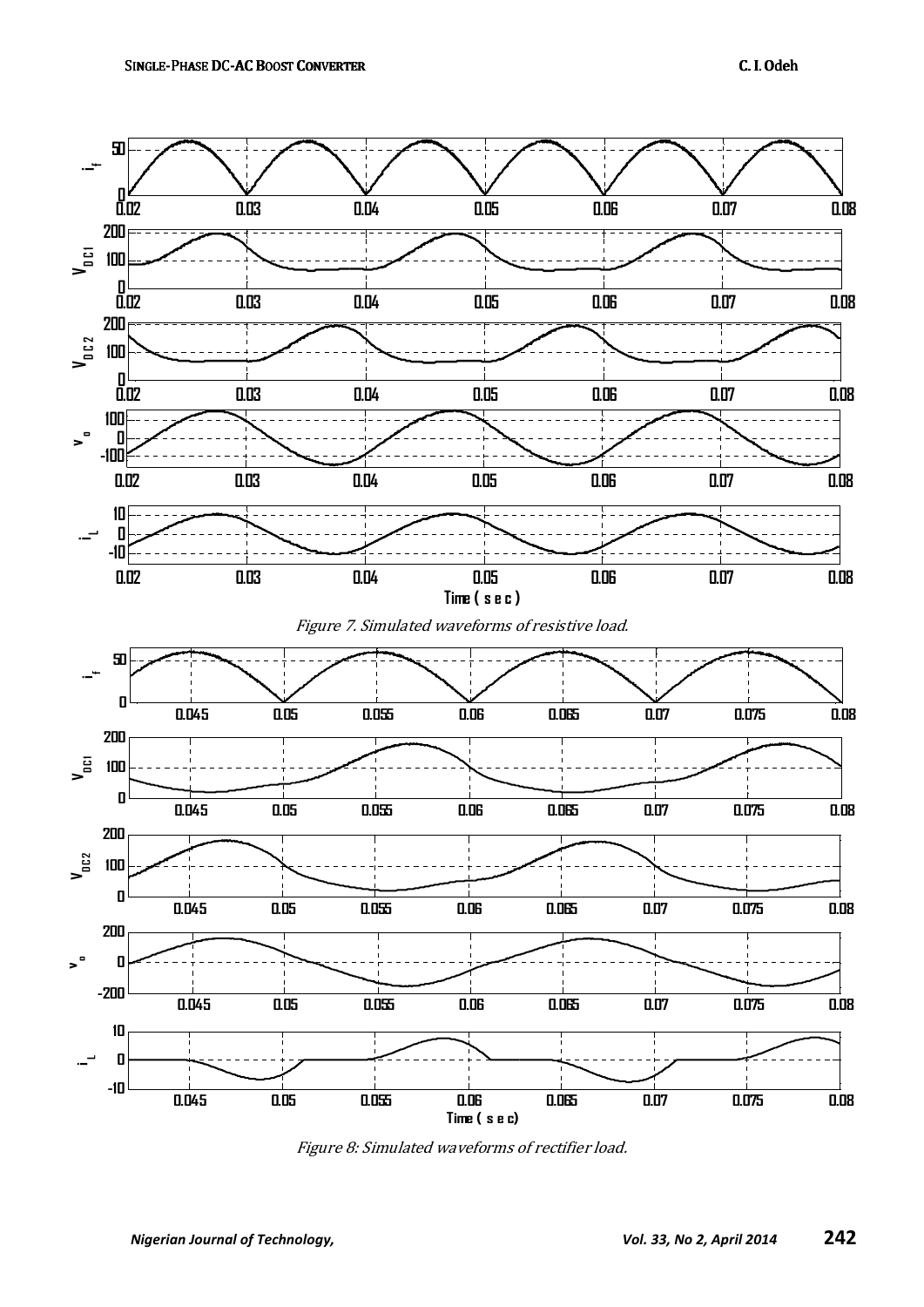

Figure 8: Simulated waveforms of rectifier load.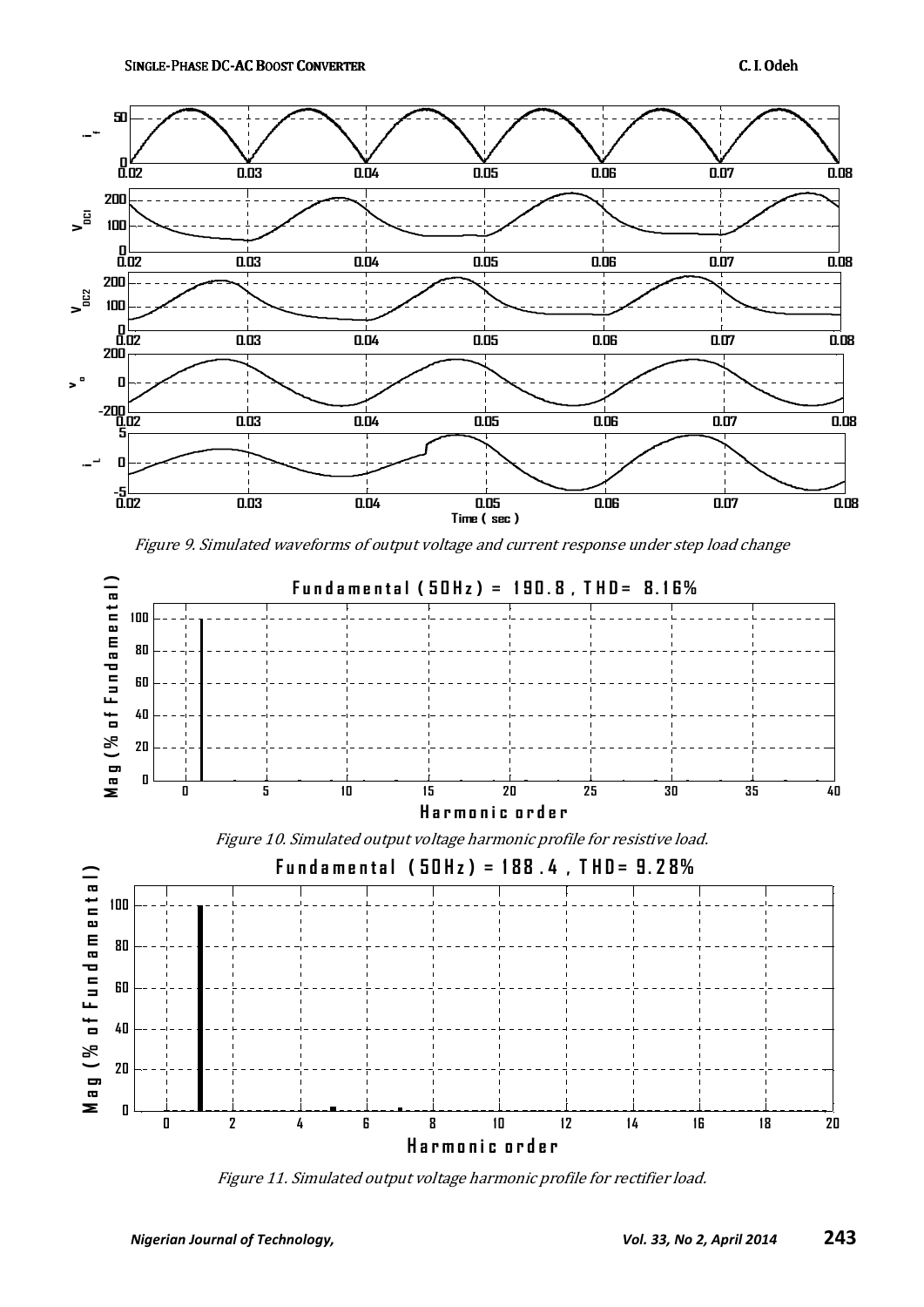

Figure 9. Simulated waveforms of output voltage and current response under step load change



Figure 10. Simulated output voltage harmonic profile for resistive load.



Figure 11. Simulated output voltage harmonic profile for rectifier load.